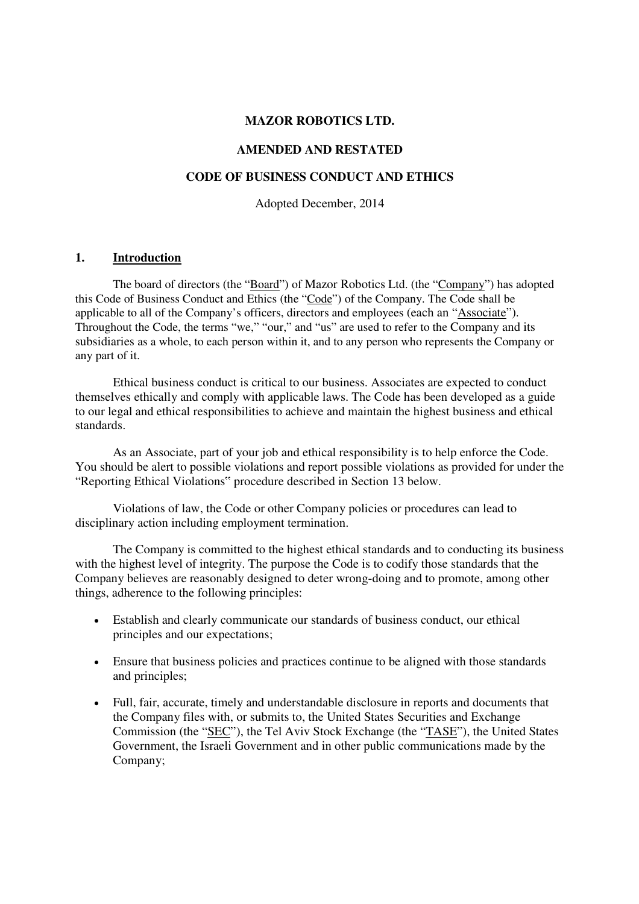#### **MAZOR ROBOTICS LTD.**

### **AMENDED AND RESTATED**

### **CODE OF BUSINESS CONDUCT AND ETHICS**

Adopted December, 2014

#### **1. Introduction**

The board of directors (the "Board") of Mazor Robotics Ltd. (the "Company") has adopted this Code of Business Conduct and Ethics (the "Code") of the Company. The Code shall be applicable to all of the Company's officers, directors and employees (each an "Associate"). Throughout the Code, the terms "we," "our," and "us" are used to refer to the Company and its subsidiaries as a whole, to each person within it, and to any person who represents the Company or any part of it.

Ethical business conduct is critical to our business. Associates are expected to conduct themselves ethically and comply with applicable laws. The Code has been developed as a guide to our legal and ethical responsibilities to achieve and maintain the highest business and ethical standards.

As an Associate, part of your job and ethical responsibility is to help enforce the Code. You should be alert to possible violations and report possible violations as provided for under the "Reporting Ethical Violations" procedure described in Section 13 below.

Violations of law, the Code or other Company policies or procedures can lead to disciplinary action including employment termination.

The Company is committed to the highest ethical standards and to conducting its business with the highest level of integrity. The purpose the Code is to codify those standards that the Company believes are reasonably designed to deter wrong-doing and to promote, among other things, adherence to the following principles:

- Establish and clearly communicate our standards of business conduct, our ethical principles and our expectations;
- Ensure that business policies and practices continue to be aligned with those standards and principles;
- Full, fair, accurate, timely and understandable disclosure in reports and documents that the Company files with, or submits to, the United States Securities and Exchange Commission (the "SEC"), the Tel Aviv Stock Exchange (the "TASE"), the United States Government, the Israeli Government and in other public communications made by the Company;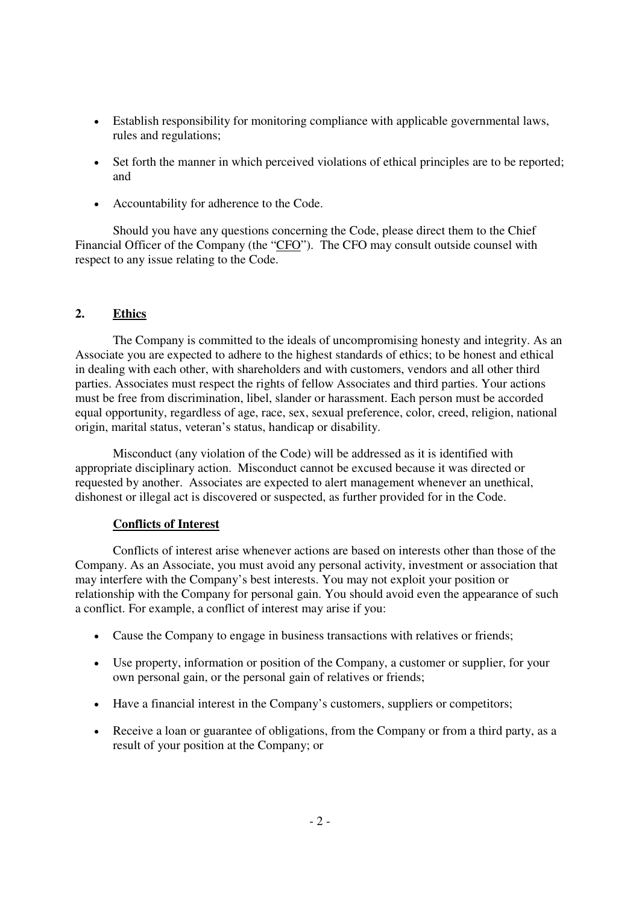- Establish responsibility for monitoring compliance with applicable governmental laws, rules and regulations;
- Set forth the manner in which perceived violations of ethical principles are to be reported; and
- Accountability for adherence to the Code.

Should you have any questions concerning the Code, please direct them to the Chief Financial Officer of the Company (the "CFO"). The CFO may consult outside counsel with respect to any issue relating to the Code.

### **2. Ethics**

The Company is committed to the ideals of uncompromising honesty and integrity. As an Associate you are expected to adhere to the highest standards of ethics; to be honest and ethical in dealing with each other, with shareholders and with customers, vendors and all other third parties. Associates must respect the rights of fellow Associates and third parties. Your actions must be free from discrimination, libel, slander or harassment. Each person must be accorded equal opportunity, regardless of age, race, sex, sexual preference, color, creed, religion, national origin, marital status, veteran's status, handicap or disability.

Misconduct (any violation of the Code) will be addressed as it is identified with appropriate disciplinary action. Misconduct cannot be excused because it was directed or requested by another. Associates are expected to alert management whenever an unethical, dishonest or illegal act is discovered or suspected, as further provided for in the Code.

### **Conflicts of Interest**

Conflicts of interest arise whenever actions are based on interests other than those of the Company. As an Associate, you must avoid any personal activity, investment or association that may interfere with the Company's best interests. You may not exploit your position or relationship with the Company for personal gain. You should avoid even the appearance of such a conflict. For example, a conflict of interest may arise if you:

- Cause the Company to engage in business transactions with relatives or friends;
- Use property, information or position of the Company, a customer or supplier, for your own personal gain, or the personal gain of relatives or friends;
- Have a financial interest in the Company's customers, suppliers or competitors;
- Receive a loan or guarantee of obligations, from the Company or from a third party, as a result of your position at the Company; or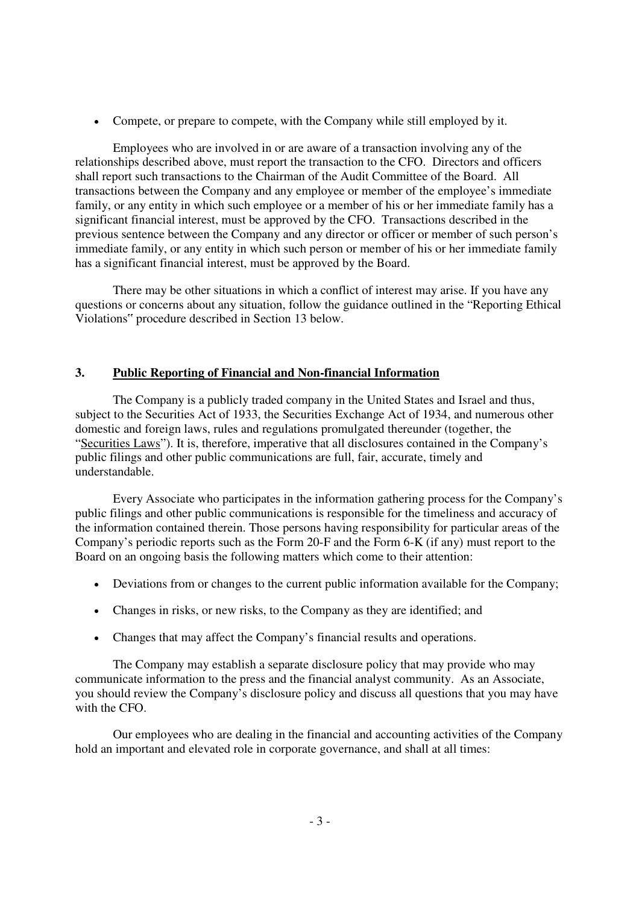• Compete, or prepare to compete, with the Company while still employed by it.

Employees who are involved in or are aware of a transaction involving any of the relationships described above, must report the transaction to the CFO. Directors and officers shall report such transactions to the Chairman of the Audit Committee of the Board. All transactions between the Company and any employee or member of the employee's immediate family, or any entity in which such employee or a member of his or her immediate family has a significant financial interest, must be approved by the CFO. Transactions described in the previous sentence between the Company and any director or officer or member of such person's immediate family, or any entity in which such person or member of his or her immediate family has a significant financial interest, must be approved by the Board.

There may be other situations in which a conflict of interest may arise. If you have any questions or concerns about any situation, follow the guidance outlined in the "Reporting Ethical Violations" procedure described in Section 13 below.

# **3. Public Reporting of Financial and Non-financial Information**

The Company is a publicly traded company in the United States and Israel and thus, subject to the Securities Act of 1933, the Securities Exchange Act of 1934, and numerous other domestic and foreign laws, rules and regulations promulgated thereunder (together, the "Securities Laws"). It is, therefore, imperative that all disclosures contained in the Company's public filings and other public communications are full, fair, accurate, timely and understandable.

Every Associate who participates in the information gathering process for the Company's public filings and other public communications is responsible for the timeliness and accuracy of the information contained therein. Those persons having responsibility for particular areas of the Company's periodic reports such as the Form 20-F and the Form 6-K (if any) must report to the Board on an ongoing basis the following matters which come to their attention:

- Deviations from or changes to the current public information available for the Company;
- Changes in risks, or new risks, to the Company as they are identified; and
- Changes that may affect the Company's financial results and operations.

The Company may establish a separate disclosure policy that may provide who may communicate information to the press and the financial analyst community. As an Associate, you should review the Company's disclosure policy and discuss all questions that you may have with the CFO.

Our employees who are dealing in the financial and accounting activities of the Company hold an important and elevated role in corporate governance, and shall at all times: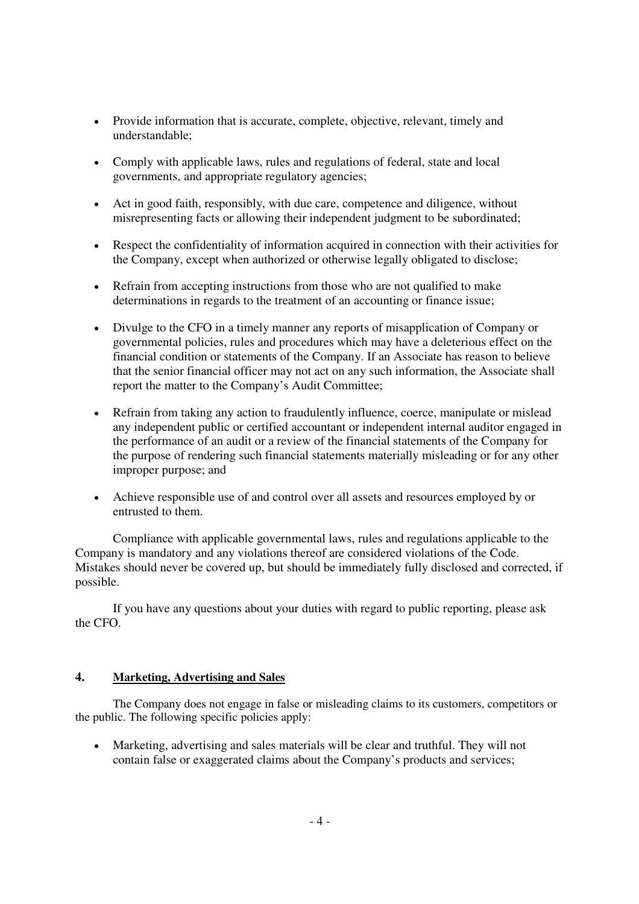- Provide information that is accurate, complete, objective, relevant, timely and understandable;
- Comply with applicable laws, rules and regulations of federal, state and local governments, and appropriate regulatory agencies;
- Act in good faith, responsibly, with due care, competence and diligence, without misrepresenting facts or allowing their independent judgment to be subordinated;
- Respect the confidentiality of information acquired in connection with their activities for the Company, except when authorized or otherwise legally obligated to disclose;
- Refrain from accepting instructions from those who are not qualified to make determinations in regards to the treatment of an accounting or finance issue;
- Divulge to the CFO in a timely manner any reports of misapplication of Company or governmental policies, rules and procedures which may have a deleterious effect on the financial condition or statements of the Company. If an Associate has reason to believe that the senior financial officer may not act on any such information, the Associate shall report the matter to the Company's Audit Committee;
- Refrain from taking any action to fraudulently influence, coerce, manipulate or mislead any independent public or certified accountant or independent internal auditor engaged in the performance of an audit or a review of the financial statements of the Company for the purpose of rendering such financial statements materially misleading or for any other improper purpose; and
- Achieve responsible use of and control over all assets and resources employed by or entrusted to them.

Compliance with applicable governmental laws, rules and regulations applicable to the Company is mandatory and any violations thereof are considered violations of the Code. Mistakes should never be covered up, but should be immediately fully disclosed and corrected, if possible.

If you have any questions about your duties with regard to public reporting, please ask the CFO.

## **4. Marketing, Advertising and Sales**

The Company does not engage in false or misleading claims to its customers, competitors or the public. The following specific policies apply:

• Marketing, advertising and sales materials will be clear and truthful. They will not contain false or exaggerated claims about the Company's products and services;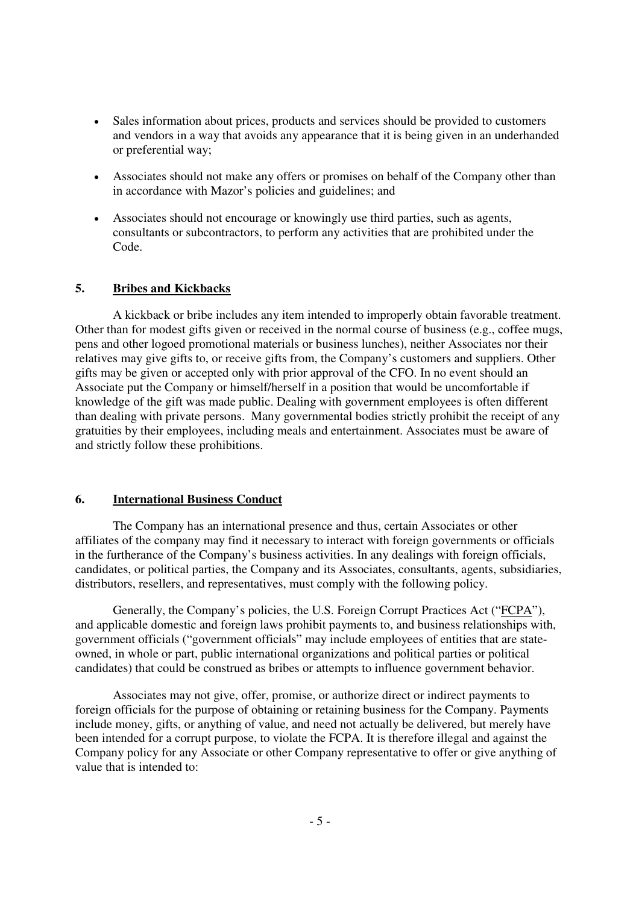- Sales information about prices, products and services should be provided to customers and vendors in a way that avoids any appearance that it is being given in an underhanded or preferential way;
- Associates should not make any offers or promises on behalf of the Company other than in accordance with Mazor's policies and guidelines; and
- Associates should not encourage or knowingly use third parties, such as agents, consultants or subcontractors, to perform any activities that are prohibited under the Code.

#### **5. Bribes and Kickbacks**

A kickback or bribe includes any item intended to improperly obtain favorable treatment. Other than for modest gifts given or received in the normal course of business (e.g., coffee mugs, pens and other logoed promotional materials or business lunches), neither Associates nor their relatives may give gifts to, or receive gifts from, the Company's customers and suppliers. Other gifts may be given or accepted only with prior approval of the CFO. In no event should an Associate put the Company or himself/herself in a position that would be uncomfortable if knowledge of the gift was made public. Dealing with government employees is often different than dealing with private persons. Many governmental bodies strictly prohibit the receipt of any gratuities by their employees, including meals and entertainment. Associates must be aware of and strictly follow these prohibitions.

### **6. International Business Conduct**

The Company has an international presence and thus, certain Associates or other affiliates of the company may find it necessary to interact with foreign governments or officials in the furtherance of the Company's business activities. In any dealings with foreign officials, candidates, or political parties, the Company and its Associates, consultants, agents, subsidiaries, distributors, resellers, and representatives, must comply with the following policy.

Generally, the Company's policies, the U.S. Foreign Corrupt Practices Act ("FCPA"), and applicable domestic and foreign laws prohibit payments to, and business relationships with, government officials ("government officials" may include employees of entities that are stateowned, in whole or part, public international organizations and political parties or political candidates) that could be construed as bribes or attempts to influence government behavior.

Associates may not give, offer, promise, or authorize direct or indirect payments to foreign officials for the purpose of obtaining or retaining business for the Company. Payments include money, gifts, or anything of value, and need not actually be delivered, but merely have been intended for a corrupt purpose, to violate the FCPA. It is therefore illegal and against the Company policy for any Associate or other Company representative to offer or give anything of value that is intended to: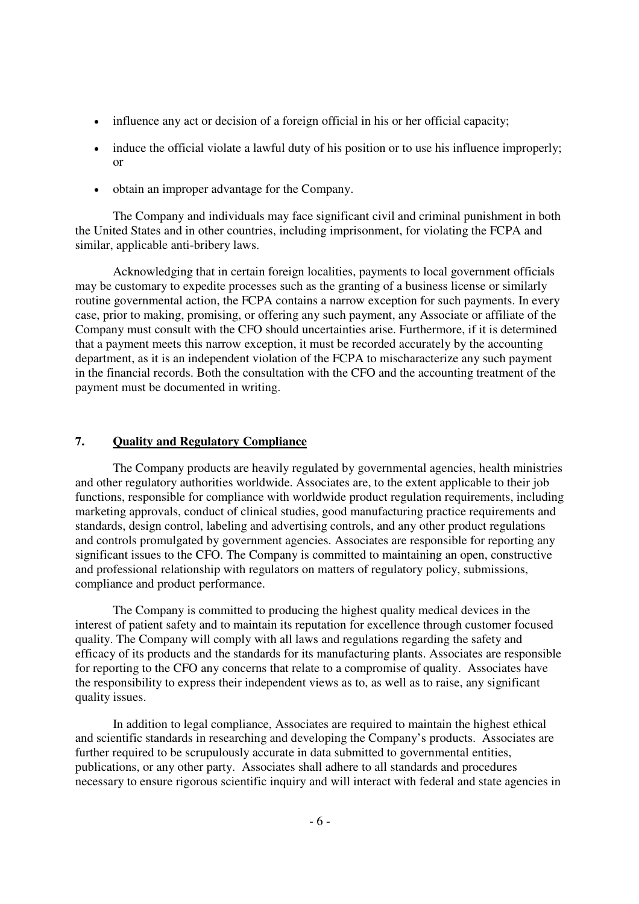- influence any act or decision of a foreign official in his or her official capacity;
- induce the official violate a lawful duty of his position or to use his influence improperly; or
- obtain an improper advantage for the Company.

The Company and individuals may face significant civil and criminal punishment in both the United States and in other countries, including imprisonment, for violating the FCPA and similar, applicable anti-bribery laws.

Acknowledging that in certain foreign localities, payments to local government officials may be customary to expedite processes such as the granting of a business license or similarly routine governmental action, the FCPA contains a narrow exception for such payments. In every case, prior to making, promising, or offering any such payment, any Associate or affiliate of the Company must consult with the CFO should uncertainties arise. Furthermore, if it is determined that a payment meets this narrow exception, it must be recorded accurately by the accounting department, as it is an independent violation of the FCPA to mischaracterize any such payment in the financial records. Both the consultation with the CFO and the accounting treatment of the payment must be documented in writing.

#### **7. Quality and Regulatory Compliance**

The Company products are heavily regulated by governmental agencies, health ministries and other regulatory authorities worldwide. Associates are, to the extent applicable to their job functions, responsible for compliance with worldwide product regulation requirements, including marketing approvals, conduct of clinical studies, good manufacturing practice requirements and standards, design control, labeling and advertising controls, and any other product regulations and controls promulgated by government agencies. Associates are responsible for reporting any significant issues to the CFO. The Company is committed to maintaining an open, constructive and professional relationship with regulators on matters of regulatory policy, submissions, compliance and product performance.

The Company is committed to producing the highest quality medical devices in the interest of patient safety and to maintain its reputation for excellence through customer focused quality. The Company will comply with all laws and regulations regarding the safety and efficacy of its products and the standards for its manufacturing plants. Associates are responsible for reporting to the CFO any concerns that relate to a compromise of quality. Associates have the responsibility to express their independent views as to, as well as to raise, any significant quality issues.

In addition to legal compliance, Associates are required to maintain the highest ethical and scientific standards in researching and developing the Company's products. Associates are further required to be scrupulously accurate in data submitted to governmental entities, publications, or any other party. Associates shall adhere to all standards and procedures necessary to ensure rigorous scientific inquiry and will interact with federal and state agencies in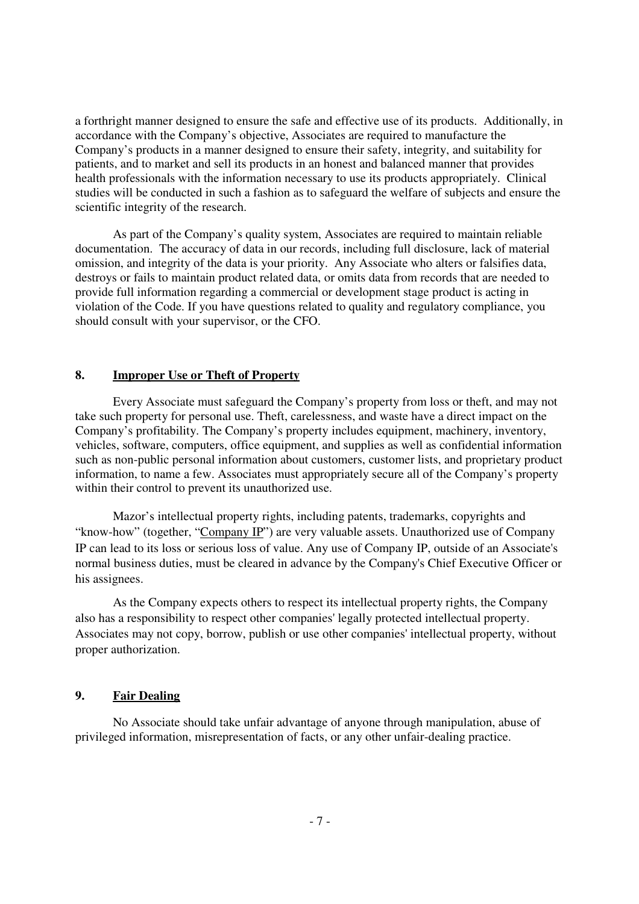a forthright manner designed to ensure the safe and effective use of its products. Additionally, in accordance with the Company's objective, Associates are required to manufacture the Company's products in a manner designed to ensure their safety, integrity, and suitability for patients, and to market and sell its products in an honest and balanced manner that provides health professionals with the information necessary to use its products appropriately. Clinical studies will be conducted in such a fashion as to safeguard the welfare of subjects and ensure the scientific integrity of the research.

As part of the Company's quality system, Associates are required to maintain reliable documentation. The accuracy of data in our records, including full disclosure, lack of material omission, and integrity of the data is your priority. Any Associate who alters or falsifies data, destroys or fails to maintain product related data, or omits data from records that are needed to provide full information regarding a commercial or development stage product is acting in violation of the Code. If you have questions related to quality and regulatory compliance, you should consult with your supervisor, or the CFO.

### **8. Improper Use or Theft of Property**

Every Associate must safeguard the Company's property from loss or theft, and may not take such property for personal use. Theft, carelessness, and waste have a direct impact on the Company's profitability. The Company's property includes equipment, machinery, inventory, vehicles, software, computers, office equipment, and supplies as well as confidential information such as non-public personal information about customers, customer lists, and proprietary product information, to name a few. Associates must appropriately secure all of the Company's property within their control to prevent its unauthorized use.

Mazor's intellectual property rights, including patents, trademarks, copyrights and "know-how" (together, "Company IP") are very valuable assets. Unauthorized use of Company IP can lead to its loss or serious loss of value. Any use of Company IP, outside of an Associate's normal business duties, must be cleared in advance by the Company's Chief Executive Officer or his assignees.

As the Company expects others to respect its intellectual property rights, the Company also has a responsibility to respect other companies' legally protected intellectual property. Associates may not copy, borrow, publish or use other companies' intellectual property, without proper authorization.

### **9. Fair Dealing**

No Associate should take unfair advantage of anyone through manipulation, abuse of privileged information, misrepresentation of facts, or any other unfair-dealing practice.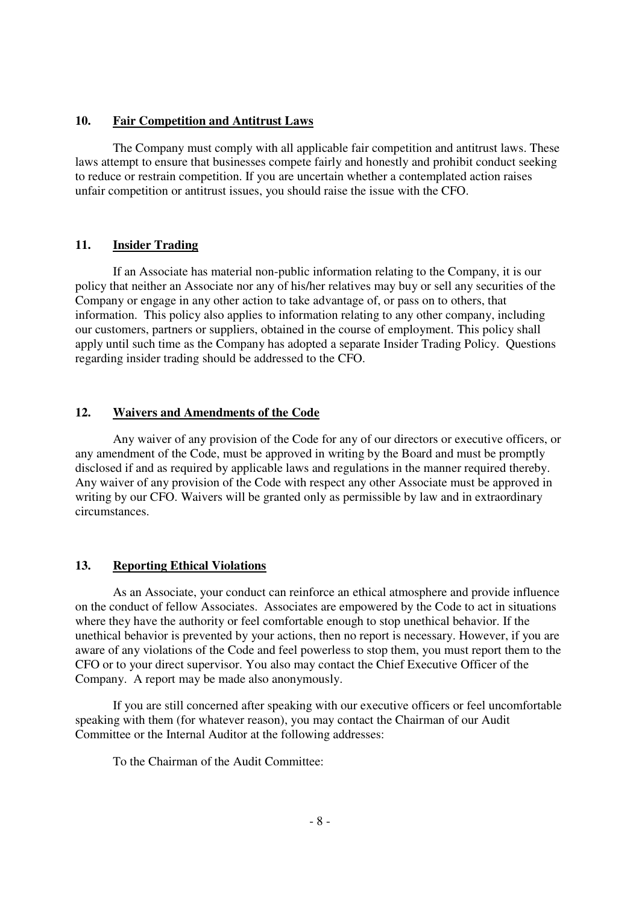## **10. Fair Competition and Antitrust Laws**

The Company must comply with all applicable fair competition and antitrust laws. These laws attempt to ensure that businesses compete fairly and honestly and prohibit conduct seeking to reduce or restrain competition. If you are uncertain whether a contemplated action raises unfair competition or antitrust issues, you should raise the issue with the CFO.

### **11. Insider Trading**

If an Associate has material non-public information relating to the Company, it is our policy that neither an Associate nor any of his/her relatives may buy or sell any securities of the Company or engage in any other action to take advantage of, or pass on to others, that information. This policy also applies to information relating to any other company, including our customers, partners or suppliers, obtained in the course of employment. This policy shall apply until such time as the Company has adopted a separate Insider Trading Policy. Questions regarding insider trading should be addressed to the CFO.

## **12. Waivers and Amendments of the Code**

Any waiver of any provision of the Code for any of our directors or executive officers, or any amendment of the Code, must be approved in writing by the Board and must be promptly disclosed if and as required by applicable laws and regulations in the manner required thereby. Any waiver of any provision of the Code with respect any other Associate must be approved in writing by our CFO. Waivers will be granted only as permissible by law and in extraordinary circumstances.

### **13. Reporting Ethical Violations**

As an Associate, your conduct can reinforce an ethical atmosphere and provide influence on the conduct of fellow Associates. Associates are empowered by the Code to act in situations where they have the authority or feel comfortable enough to stop unethical behavior. If the unethical behavior is prevented by your actions, then no report is necessary. However, if you are aware of any violations of the Code and feel powerless to stop them, you must report them to the CFO or to your direct supervisor. You also may contact the Chief Executive Officer of the Company. A report may be made also anonymously.

If you are still concerned after speaking with our executive officers or feel uncomfortable speaking with them (for whatever reason), you may contact the Chairman of our Audit Committee or the Internal Auditor at the following addresses:

To the Chairman of the Audit Committee: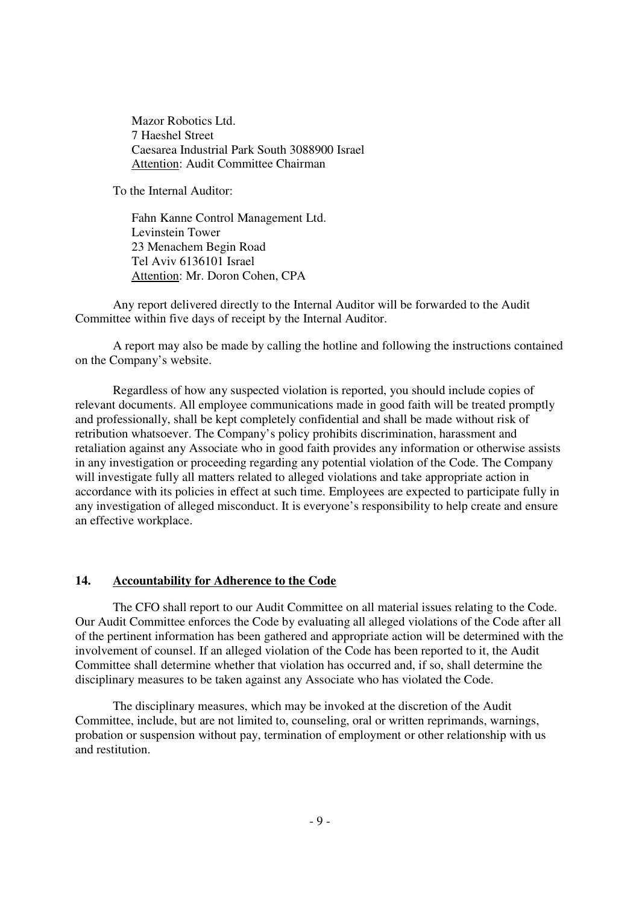Mazor Robotics Ltd. 7 Haeshel Street Caesarea Industrial Park South 3088900 Israel Attention: Audit Committee Chairman

To the Internal Auditor:

Fahn Kanne Control Management Ltd. Levinstein Tower 23 Menachem Begin Road Tel Aviv 6136101 Israel Attention: Mr. Doron Cohen, CPA

Any report delivered directly to the Internal Auditor will be forwarded to the Audit Committee within five days of receipt by the Internal Auditor.

 A report may also be made by calling the hotline and following the instructions contained on the Company's website.

Regardless of how any suspected violation is reported, you should include copies of relevant documents. All employee communications made in good faith will be treated promptly and professionally, shall be kept completely confidential and shall be made without risk of retribution whatsoever. The Company's policy prohibits discrimination, harassment and retaliation against any Associate who in good faith provides any information or otherwise assists in any investigation or proceeding regarding any potential violation of the Code. The Company will investigate fully all matters related to alleged violations and take appropriate action in accordance with its policies in effect at such time. Employees are expected to participate fully in any investigation of alleged misconduct. It is everyone's responsibility to help create and ensure an effective workplace.

### **14. Accountability for Adherence to the Code**

The CFO shall report to our Audit Committee on all material issues relating to the Code. Our Audit Committee enforces the Code by evaluating all alleged violations of the Code after all of the pertinent information has been gathered and appropriate action will be determined with the involvement of counsel. If an alleged violation of the Code has been reported to it, the Audit Committee shall determine whether that violation has occurred and, if so, shall determine the disciplinary measures to be taken against any Associate who has violated the Code.

The disciplinary measures, which may be invoked at the discretion of the Audit Committee, include, but are not limited to, counseling, oral or written reprimands, warnings, probation or suspension without pay, termination of employment or other relationship with us and restitution.